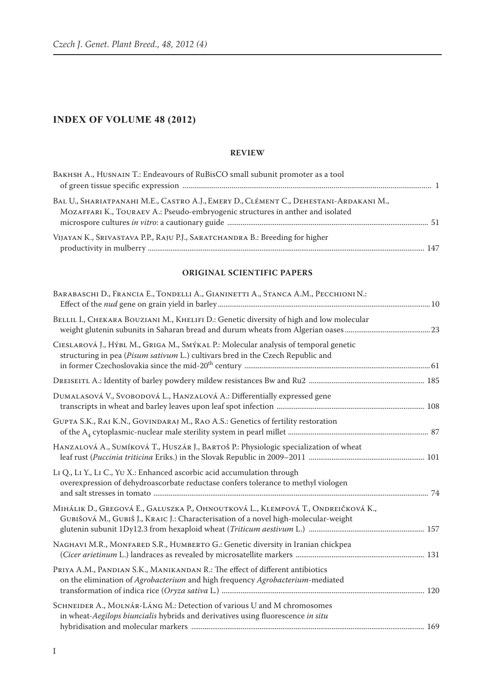# **INDEX OF VOLUME 48 (2012)**

#### **REVIEW**

| BAKHSH A., HUSNAIN T.: Endeavours of RuBisCO small subunit promoter as a tool                                                                                           |  |
|-------------------------------------------------------------------------------------------------------------------------------------------------------------------------|--|
| BAL U., SHARIATPANAHI M.E., CASTRO A.J., EMERY D., CLÉMENT C., DEHESTANI-ARDAKANI M.,<br>MOZAFFARI K., TOURAEV A.: Pseudo-embryogenic structures in anther and isolated |  |
| VIJAYAN K., SRIVASTAVA P.P., RAJU P.J., SARATCHANDRA B.: Breeding for higher                                                                                            |  |

#### **ORIGINAL SCIENTIFIC PAPERS**

| BARABASCHI D., FRANCIA E., TONDELLI A., GIANINETTI A., STANCA A.M., PECCHIONI N.:                                                                                      |  |
|------------------------------------------------------------------------------------------------------------------------------------------------------------------------|--|
| BELLIL I., CHEKARA BOUZIANI M., KHELIFI D.: Genetic diversity of high and low molecular                                                                                |  |
| CIESLAROVÁ J., HÝBL M., GRIGA M., SMÝKAL P.: Molecular analysis of temporal genetic<br>structuring in pea (Pisum sativum L.) cultivars bred in the Czech Republic and  |  |
|                                                                                                                                                                        |  |
| DUMALASOVÁ V., SVOBODOVÁ L., HANZALOVÁ A.: Differentially expressed gene                                                                                               |  |
| GUPTA S.K., RAI K.N., GOVINDARAJ M., RAO A.S.: Genetics of fertility restoration                                                                                       |  |
| HANZALOVÁ A., SUMÍKOVÁ T., HUSZÁR J., BARTOŠ P.: Physiologic specialization of wheat                                                                                   |  |
| LI Q., LI Y., LI C., YU X.: Enhanced ascorbic acid accumulation through<br>overexpression of dehydroascorbate reductase confers tolerance to methyl viologen           |  |
| MIHÁLIK D., GREGOVÁ E., GALUSZKA P., OHNOUTKOVÁ L., KLEMPOVÁ T., ONDREIČKOVÁ K.,<br>GUBIŠOVÁ M., GUBIŠ J., KRAIC J.: Characterisation of a novel high-molecular-weight |  |
| NAGHAVI M.R., MONFARED S.R., HUMBERTO G.: Genetic diversity in Iranian chickpea                                                                                        |  |
| PRIYA A.M., PANDIAN S.K., MANIKANDAN R.: The effect of different antibiotics<br>on the elimination of Agrobacterium and high frequency Agrobacterium-mediated          |  |
| SCHNEIDER A., MOLNÁR-LÁNG M.: Detection of various U and M chromosomes<br>in wheat-Aegilops biuncialis hybrids and derivatives using fluorescence in situ              |  |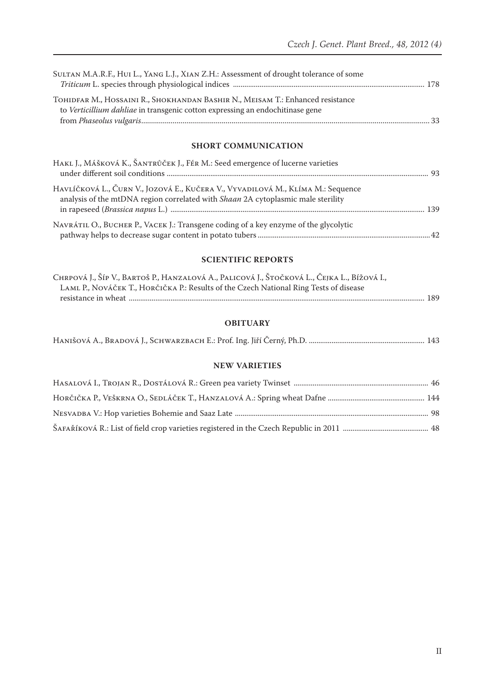| SULTAN M.A.R.F., HUI L., YANG L.J., XIAN Z.H.: Assessment of drought tolerance of some                                                                          |  |
|-----------------------------------------------------------------------------------------------------------------------------------------------------------------|--|
|                                                                                                                                                                 |  |
| TOHIDFAR M., HOSSAINI R., SHOKHANDAN BASHIR N., MEISAM T.: Enhanced resistance<br>to Verticillium dahliae in transgenic cotton expressing an endochitinase gene |  |
|                                                                                                                                                                 |  |

#### **SHORT COMMUNICATION**

| HAKL J., MÁŠKOVÁ K., ŠANTRŮČEK J., FÉR M.: Seed emergence of lucerne varieties                                                                                             |  |
|----------------------------------------------------------------------------------------------------------------------------------------------------------------------------|--|
| HAVLÍČKOVÁ L., ČURN V., JOZOVÁ E., KUČERA V., VYVADILOVÁ M., KLÍMA M.: Sequence<br>analysis of the mtDNA region correlated with <i>Shaan</i> 2A cytoplasmic male sterility |  |
| NAVRÁTIL O., BUCHER P., VACEK J.: Transgene coding of a key enzyme of the glycolytic                                                                                       |  |

### **SCIENTIFIC REPORTS**

| Chrpová J., Šíp V., Bartoš P., Hanzalová A., Palicová J., Štočková L., Čejka L., Bížová I., |  |
|---------------------------------------------------------------------------------------------|--|
| LAML P., NOVÁČEK T., HORČIČKA P.: Results of the Czech National Ring Tests of disease       |  |
|                                                                                             |  |

## **OBITUARY**

|--|--|

#### **NEW VARIETIES**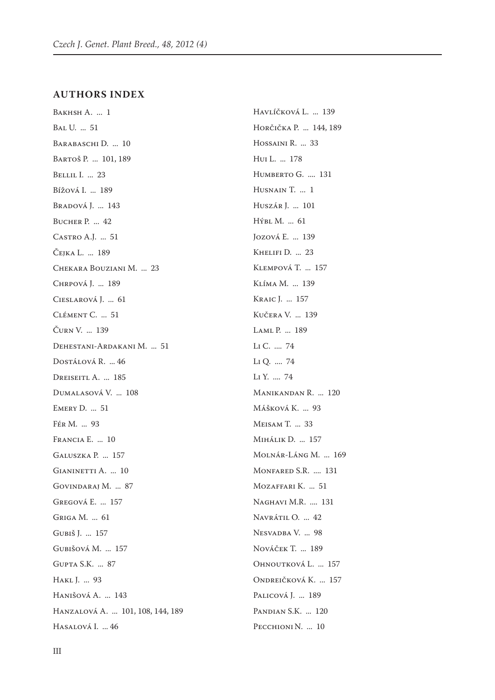#### **AUTHORS INDEX**

Bakhsh A. ... 1 Bal U. ... 51 BARABASCHI D. ... 10 Bartoš P. ... 101, 189 Bellil I. ... 23 Bížová I. ... 189 Bradová J. ... 143 Bucher P. ... 42 Castro A.J. ... 51 Čejka L. ... 189 Chekara Bouziani M. ... 23 Chrpová J. ... 189 Cieslarová J. ... 61 Clément C. ... 51 Čurn V. ... 139 Dehestani-Ardakani M. ... 51 Dostálová R. ... 46 DREISEITL A. ... 185 Dumalasová V. ... 108 Emery D. ... 51 Fér M. ... 93 Francia E. ... 10 Galuszka P. ... 157 GIANINETTI A. ... 10 Govindaraj M. ... 87 Gregová E. ... 157 Griga M. ... 61 Gubiš J. ... 157 Gubišová M. ... 157 Gupta S.K. ... 87 Hakl J. ... 93 Hanišová A. ... 143 Hanzalová A. ... 101, 108, 144, 189 Hasalová I. ... 46

Havlíčková L. ... 139 Horčička P. ... 144, 189 Hossaini R. ... 33 Hui L. ... 178 HUMBERTO G. .... 131 HUSNAIN T. ... 1 Huszár J. ... 101 Hýbl M. ... 61 Jozová E. ... 139 KHELIFI D. ... 23 Klempová T. ... 157 Klíma M. ... 139 Kraic J. ... 157 Kučera V. ... 139 Laml P. ... 189 Li C. .... 74 Li Q. .... 74 Li Y. .... 74 Manikandan R. ... 120 Mášková K. ... 93 Meisam T. ... 33 Mihálik D. ... 157 Molnár-Láng M. ... 169 Monfared S.R. .... 131 Mozaffari K. ... 51 Naghavi M.R. .... 131 Navrátil O. ... 42 Nesvadba V. ... 98 Nováček T. ... 189 Ohnoutková L. ... 157 Ondreičková K. ... 157 PALICOVÁ J. ... 189 Pandian S.K. ... 120 PECCHIONI N. ... 10